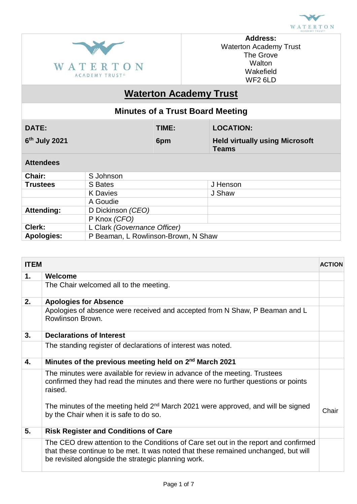



**Address:** Waterton Academy Trust The Grove **Walton** Wakefield WF2 6LD

# **Waterton Academy Trust**

| <b>Minutes of a Trust Board Meeting</b>                  |                              |       |                                                       |                  |  |
|----------------------------------------------------------|------------------------------|-------|-------------------------------------------------------|------------------|--|
| <b>DATE:</b>                                             |                              | TIME: |                                                       | <b>LOCATION:</b> |  |
| $6th$ July 2021                                          |                              | 6pm   | <b>Held virtually using Microsoft</b><br><b>Teams</b> |                  |  |
| <b>Attendees</b>                                         |                              |       |                                                       |                  |  |
| Chair:                                                   | S Johnson                    |       |                                                       |                  |  |
| <b>Trustees</b>                                          | S Bates                      |       |                                                       | J Henson         |  |
|                                                          | <b>K</b> Davies              |       |                                                       | J Shaw           |  |
|                                                          | A Goudie                     |       |                                                       |                  |  |
| <b>Attending:</b>                                        | D Dickinson (CEO)            |       |                                                       |                  |  |
|                                                          | P Knox (CFO)                 |       |                                                       |                  |  |
| Clerk:                                                   | L Clark (Governance Officer) |       |                                                       |                  |  |
| P Beaman, L Rowlinson-Brown, N Shaw<br><b>Apologies:</b> |                              |       |                                                       |                  |  |

| <b>ITEM</b> |                                                                                                                                                                                                                                    | <b>ACTION</b> |
|-------------|------------------------------------------------------------------------------------------------------------------------------------------------------------------------------------------------------------------------------------|---------------|
| 1.          | Welcome                                                                                                                                                                                                                            |               |
|             | The Chair welcomed all to the meeting.                                                                                                                                                                                             |               |
| 2.          | <b>Apologies for Absence</b>                                                                                                                                                                                                       |               |
|             | Apologies of absence were received and accepted from N Shaw, P Beaman and L<br>Rowlinson Brown.                                                                                                                                    |               |
| 3.          | <b>Declarations of Interest</b>                                                                                                                                                                                                    |               |
|             | The standing register of declarations of interest was noted.                                                                                                                                                                       |               |
| 4.          | Minutes of the previous meeting held on 2 <sup>nd</sup> March 2021                                                                                                                                                                 |               |
|             | The minutes were available for review in advance of the meeting. Trustees<br>confirmed they had read the minutes and there were no further questions or points<br>raised.                                                          |               |
|             | The minutes of the meeting held 2 <sup>nd</sup> March 2021 were approved, and will be signed<br>by the Chair when it is safe to do so.                                                                                             | Chair         |
| 5.          | <b>Risk Register and Conditions of Care</b>                                                                                                                                                                                        |               |
|             | The CEO drew attention to the Conditions of Care set out in the report and confirmed<br>that these continue to be met. It was noted that these remained unchanged, but will<br>be revisited alongside the strategic planning work. |               |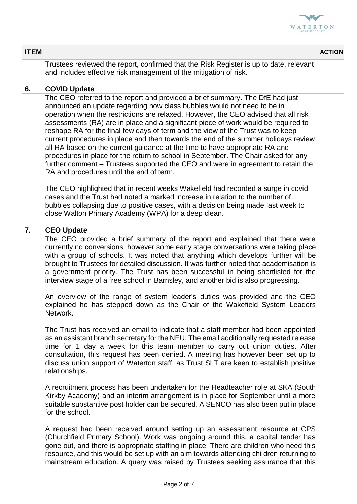

| <b>ITEM</b> |                                                                                                                                                                                                                                                                                                                                                                                                                                                                                                                                                                                                                                                                                                                                                                                                                     | <b>ACTION</b> |
|-------------|---------------------------------------------------------------------------------------------------------------------------------------------------------------------------------------------------------------------------------------------------------------------------------------------------------------------------------------------------------------------------------------------------------------------------------------------------------------------------------------------------------------------------------------------------------------------------------------------------------------------------------------------------------------------------------------------------------------------------------------------------------------------------------------------------------------------|---------------|
|             | Trustees reviewed the report, confirmed that the Risk Register is up to date, relevant<br>and includes effective risk management of the mitigation of risk.                                                                                                                                                                                                                                                                                                                                                                                                                                                                                                                                                                                                                                                         |               |
| 6.          | <b>COVID Update</b>                                                                                                                                                                                                                                                                                                                                                                                                                                                                                                                                                                                                                                                                                                                                                                                                 |               |
|             | The CEO referred to the report and provided a brief summary. The DfE had just<br>announced an update regarding how class bubbles would not need to be in<br>operation when the restrictions are relaxed. However, the CEO advised that all risk<br>assessments (RA) are in place and a significant piece of work would be required to<br>reshape RA for the final few days of term and the view of the Trust was to keep<br>current procedures in place and then towards the end of the summer holidays review<br>all RA based on the current guidance at the time to have appropriate RA and<br>procedures in place for the return to school in September. The Chair asked for any<br>further comment – Trustees supported the CEO and were in agreement to retain the<br>RA and procedures until the end of term. |               |
|             | The CEO highlighted that in recent weeks Wakefield had recorded a surge in covid<br>cases and the Trust had noted a marked increase in relation to the number of<br>bubbles collapsing due to positive cases, with a decision being made last week to<br>close Walton Primary Academy (WPA) for a deep clean.                                                                                                                                                                                                                                                                                                                                                                                                                                                                                                       |               |
| 7.          | <b>CEO Update</b>                                                                                                                                                                                                                                                                                                                                                                                                                                                                                                                                                                                                                                                                                                                                                                                                   |               |
|             | The CEO provided a brief summary of the report and explained that there were<br>currently no conversions, however some early stage conversations were taking place<br>with a group of schools. It was noted that anything which develops further will be<br>brought to Trustees for detailed discussion. It was further noted that academisation is<br>a government priority. The Trust has been successful in being shortlisted for the<br>interview stage of a free school in Barnsley, and another bid is also progressing.                                                                                                                                                                                                                                                                                      |               |
|             | An overview of the range of system leader's duties was provided and the CEO<br>explained he has stepped down as the Chair of the Wakefield System Leaders<br>Network.                                                                                                                                                                                                                                                                                                                                                                                                                                                                                                                                                                                                                                               |               |
|             | The Trust has received an email to indicate that a staff member had been appointed<br>as an assistant branch secretary for the NEU. The email additionally requested release<br>time for 1 day a week for this team member to carry out union duties. After<br>consultation, this request has been denied. A meeting has however been set up to<br>discuss union support of Waterton staff, as Trust SLT are keen to establish positive<br>relationships.                                                                                                                                                                                                                                                                                                                                                           |               |
|             | A recruitment process has been undertaken for the Headteacher role at SKA (South<br>Kirkby Academy) and an interim arrangement is in place for September until a more<br>suitable substantive post holder can be secured. A SENCO has also been put in place<br>for the school.                                                                                                                                                                                                                                                                                                                                                                                                                                                                                                                                     |               |
|             | A request had been received around setting up an assessment resource at CPS<br>(Churchfield Primary School). Work was ongoing around this, a capital tender has<br>gone out, and there is appropriate staffing in place. There are children who need this<br>resource, and this would be set up with an aim towards attending children returning to<br>mainstream education. A query was raised by Trustees seeking assurance that this                                                                                                                                                                                                                                                                                                                                                                             |               |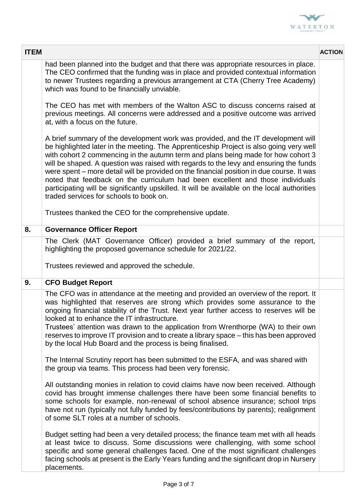

| <b>ITEM</b> |                                                                                                                                                                                                                                                                                                                                                                                                                                                                                                                                                                                                                                                                                      | <b>ACTION</b> |
|-------------|--------------------------------------------------------------------------------------------------------------------------------------------------------------------------------------------------------------------------------------------------------------------------------------------------------------------------------------------------------------------------------------------------------------------------------------------------------------------------------------------------------------------------------------------------------------------------------------------------------------------------------------------------------------------------------------|---------------|
|             | had been planned into the budget and that there was appropriate resources in place.<br>The CEO confirmed that the funding was in place and provided contextual information<br>to newer Trustees regarding a previous arrangement at CTA (Cherry Tree Academy)<br>which was found to be financially unviable.                                                                                                                                                                                                                                                                                                                                                                         |               |
|             | The CEO has met with members of the Walton ASC to discuss concerns raised at<br>previous meetings. All concerns were addressed and a positive outcome was arrived<br>at, with a focus on the future.                                                                                                                                                                                                                                                                                                                                                                                                                                                                                 |               |
|             | A brief summary of the development work was provided, and the IT development will<br>be highlighted later in the meeting. The Apprenticeship Project is also going very well<br>with cohort 2 commencing in the autumn term and plans being made for how cohort 3<br>will be shaped. A question was raised with regards to the levy and ensuring the funds<br>were spent – more detail will be provided on the financial position in due course. It was<br>noted that feedback on the curriculum had been excellent and those individuals<br>participating will be significantly upskilled. It will be available on the local authorities<br>traded services for schools to book on. |               |
|             | Trustees thanked the CEO for the comprehensive update.                                                                                                                                                                                                                                                                                                                                                                                                                                                                                                                                                                                                                               |               |
| 8.          | <b>Governance Officer Report</b>                                                                                                                                                                                                                                                                                                                                                                                                                                                                                                                                                                                                                                                     |               |
|             | The Clerk (MAT Governance Officer) provided a brief summary of the report,<br>highlighting the proposed governance schedule for 2021/22.<br>Trustees reviewed and approved the schedule.                                                                                                                                                                                                                                                                                                                                                                                                                                                                                             |               |
| 9.          | <b>CFO Budget Report</b>                                                                                                                                                                                                                                                                                                                                                                                                                                                                                                                                                                                                                                                             |               |
|             | The CFO was in attendance at the meeting and provided an overview of the report. It<br>was highlighted that reserves are strong which provides some assurance to the<br>ongoing financial stability of the Trust. Next year further access to reserves will be<br>looked at to enhance the IT infrastructure.<br>Trustees' attention was drawn to the application from Wrenthorpe (WA) to their own<br>reserves to improve IT provision and to create a library space - this has been approved<br>by the local Hub Board and the process is being finalised.                                                                                                                         |               |
|             | The Internal Scrutiny report has been submitted to the ESFA, and was shared with<br>the group via teams. This process had been very forensic.                                                                                                                                                                                                                                                                                                                                                                                                                                                                                                                                        |               |
|             | All outstanding monies in relation to covid claims have now been received. Although<br>covid has brought immense challenges there have been some financial benefits to<br>some schools for example, non-renewal of school absence insurance; school trips<br>have not run (typically not fully funded by fees/contributions by parents); realignment<br>of some SLT roles at a number of schools.                                                                                                                                                                                                                                                                                    |               |
|             | Budget setting had been a very detailed process; the finance team met with all heads<br>at least twice to discuss. Some discussions were challenging, with some school<br>specific and some general challenges faced. One of the most significant challenges<br>facing schools at present is the Early Years funding and the significant drop in Nursery<br>placements.                                                                                                                                                                                                                                                                                                              |               |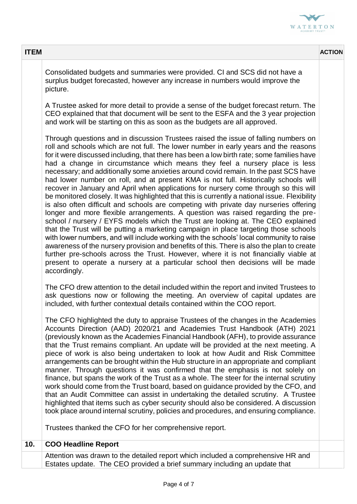

| <b>ITEM</b> |                                                                                                                                                                                                                                                                                                                                                                                                                                                                                                                                                                                                                                                                                                                                                                                                                                                                                                                                                                                                                                                                                                                                                                                                                                                                                                                                                                                                                                                                           | <b>ACTION</b> |
|-------------|---------------------------------------------------------------------------------------------------------------------------------------------------------------------------------------------------------------------------------------------------------------------------------------------------------------------------------------------------------------------------------------------------------------------------------------------------------------------------------------------------------------------------------------------------------------------------------------------------------------------------------------------------------------------------------------------------------------------------------------------------------------------------------------------------------------------------------------------------------------------------------------------------------------------------------------------------------------------------------------------------------------------------------------------------------------------------------------------------------------------------------------------------------------------------------------------------------------------------------------------------------------------------------------------------------------------------------------------------------------------------------------------------------------------------------------------------------------------------|---------------|
|             | Consolidated budgets and summaries were provided. CI and SCS did not have a<br>surplus budget forecasted, however any increase in numbers would improve the<br>picture.                                                                                                                                                                                                                                                                                                                                                                                                                                                                                                                                                                                                                                                                                                                                                                                                                                                                                                                                                                                                                                                                                                                                                                                                                                                                                                   |               |
|             | A Trustee asked for more detail to provide a sense of the budget forecast return. The<br>CEO explained that that document will be sent to the ESFA and the 3 year projection<br>and work will be starting on this as soon as the budgets are all approved.                                                                                                                                                                                                                                                                                                                                                                                                                                                                                                                                                                                                                                                                                                                                                                                                                                                                                                                                                                                                                                                                                                                                                                                                                |               |
|             | Through questions and in discussion Trustees raised the issue of falling numbers on<br>roll and schools which are not full. The lower number in early years and the reasons<br>for it were discussed including, that there has been a low birth rate; some families have<br>had a change in circumstance which means they feel a nursery place is less<br>necessary; and additionally some anxieties around covid remain. In the past SCS have<br>had lower number on roll, and at present KMA is not full. Historically schools will<br>recover in January and April when applications for nursery come through so this will<br>be monitored closely. It was highlighted that this is currently a national issue. Flexibility<br>is also often difficult and schools are competing with private day nurseries offering<br>longer and more flexible arrangements. A question was raised regarding the pre-<br>school / nursery / EYFS models which the Trust are looking at. The CEO explained<br>that the Trust will be putting a marketing campaign in place targeting those schools<br>with lower numbers, and will include working with the schools' local community to raise<br>awareness of the nursery provision and benefits of this. There is also the plan to create<br>further pre-schools across the Trust. However, where it is not financially viable at<br>present to operate a nursery at a particular school then decisions will be made<br>accordingly. |               |
|             | The CFO drew attention to the detail included within the report and invited Trustees to<br>ask questions now or following the meeting. An overview of capital updates are<br>included, with further contextual details contained within the COO report.                                                                                                                                                                                                                                                                                                                                                                                                                                                                                                                                                                                                                                                                                                                                                                                                                                                                                                                                                                                                                                                                                                                                                                                                                   |               |
|             | The CFO highlighted the duty to appraise Trustees of the changes in the Academies<br>Accounts Direction (AAD) 2020/21 and Academies Trust Handbook (ATH) 2021<br>(previously known as the Academies Financial Handbook (AFH), to provide assurance<br>that the Trust remains compliant. An update will be provided at the next meeting. A<br>piece of work is also being undertaken to look at how Audit and Risk Committee<br>arrangements can be brought within the Hub structure in an appropriate and compliant<br>manner. Through questions it was confirmed that the emphasis is not solely on<br>finance, but spans the work of the Trust as a whole. The steer for the internal scrutiny<br>work should come from the Trust board, based on guidance provided by the CFO, and<br>that an Audit Committee can assist in undertaking the detailed scrutiny. A Trustee<br>highlighted that items such as cyber security should also be considered. A discussion<br>took place around internal scrutiny, policies and procedures, and ensuring compliance.                                                                                                                                                                                                                                                                                                                                                                                                            |               |
|             | Trustees thanked the CFO for her comprehensive report.                                                                                                                                                                                                                                                                                                                                                                                                                                                                                                                                                                                                                                                                                                                                                                                                                                                                                                                                                                                                                                                                                                                                                                                                                                                                                                                                                                                                                    |               |
| 10.         | <b>COO Headline Report</b>                                                                                                                                                                                                                                                                                                                                                                                                                                                                                                                                                                                                                                                                                                                                                                                                                                                                                                                                                                                                                                                                                                                                                                                                                                                                                                                                                                                                                                                |               |
|             | Attention was drawn to the detailed report which included a comprehensive HR and<br>Estates update. The CEO provided a brief summary including an update that                                                                                                                                                                                                                                                                                                                                                                                                                                                                                                                                                                                                                                                                                                                                                                                                                                                                                                                                                                                                                                                                                                                                                                                                                                                                                                             |               |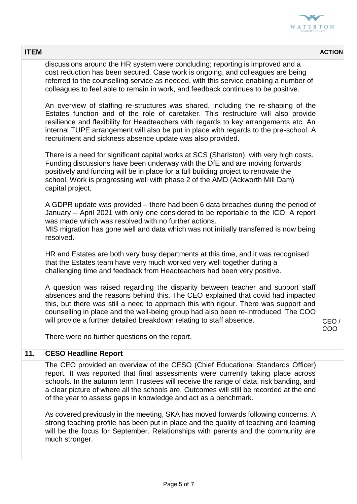

| <b>ITEM</b> |                                                                                                                                                                                                                                                                                                                                                                                                                              | <b>ACTION</b> |
|-------------|------------------------------------------------------------------------------------------------------------------------------------------------------------------------------------------------------------------------------------------------------------------------------------------------------------------------------------------------------------------------------------------------------------------------------|---------------|
|             | discussions around the HR system were concluding; reporting is improved and a<br>cost reduction has been secured. Case work is ongoing, and colleagues are being<br>referred to the counselling service as needed, with this service enabling a number of<br>colleagues to feel able to remain in work, and feedback continues to be positive.                                                                               |               |
|             | An overview of staffing re-structures was shared, including the re-shaping of the<br>Estates function and of the role of caretaker. This restructure will also provide<br>resilience and flexibility for Headteachers with regards to key arrangements etc. An<br>internal TUPE arrangement will also be put in place with regards to the pre-school. A<br>recruitment and sickness absence update was also provided.        |               |
|             | There is a need for significant capital works at SCS (Sharlston), with very high costs.<br>Funding discussions have been underway with the DfE and are moving forwards<br>positively and funding will be in place for a full building project to renovate the<br>school. Work is progressing well with phase 2 of the AMD (Ackworth Mill Dam)<br>capital project.                                                            |               |
|             | A GDPR update was provided – there had been 6 data breaches during the period of<br>January – April 2021 with only one considered to be reportable to the ICO. A report<br>was made which was resolved with no further actions.<br>MIS migration has gone well and data which was not initially transferred is now being<br>resolved.                                                                                        |               |
|             | HR and Estates are both very busy departments at this time, and it was recognised<br>that the Estates team have very much worked very well together during a<br>challenging time and feedback from Headteachers had been very positive.                                                                                                                                                                                      |               |
|             | A question was raised regarding the disparity between teacher and support staff<br>absences and the reasons behind this. The CEO explained that covid had impacted<br>this, but there was still a need to approach this with rigour. There was support and<br>counselling in place and the well-being group had also been re-introduced. The COO<br>will provide a further detailed breakdown relating to staff absence.     | CEO/<br>COO   |
|             | There were no further questions on the report.                                                                                                                                                                                                                                                                                                                                                                               |               |
| 11.         | <b>CESO Headline Report</b>                                                                                                                                                                                                                                                                                                                                                                                                  |               |
|             | The CEO provided an overview of the CESO (Chief Educational Standards Officer)<br>report. It was reported that final assessments were currently taking place across<br>schools. In the autumn term Trustees will receive the range of data, risk banding, and<br>a clear picture of where all the schools are. Outcomes will still be recorded at the end<br>of the year to assess gaps in knowledge and act as a benchmark. |               |
|             | As covered previously in the meeting, SKA has moved forwards following concerns. A<br>strong teaching profile has been put in place and the quality of teaching and learning<br>will be the focus for September. Relationships with parents and the community are<br>much stronger.                                                                                                                                          |               |
|             |                                                                                                                                                                                                                                                                                                                                                                                                                              |               |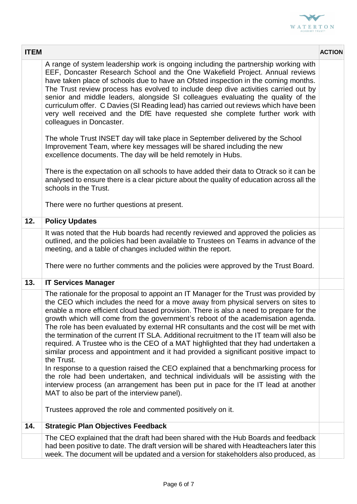

| <b>ITEM</b> |                                                                                                                                                                                                                                                                                                                                                                                                                                                                                                                                                                                                                                                                                                                                                                                                                                                                                                                                                                                                                                                                                                                          | <b>ACTION</b> |
|-------------|--------------------------------------------------------------------------------------------------------------------------------------------------------------------------------------------------------------------------------------------------------------------------------------------------------------------------------------------------------------------------------------------------------------------------------------------------------------------------------------------------------------------------------------------------------------------------------------------------------------------------------------------------------------------------------------------------------------------------------------------------------------------------------------------------------------------------------------------------------------------------------------------------------------------------------------------------------------------------------------------------------------------------------------------------------------------------------------------------------------------------|---------------|
|             | A range of system leadership work is ongoing including the partnership working with<br>EEF, Doncaster Research School and the One Wakefield Project. Annual reviews<br>have taken place of schools due to have an Ofsted inspection in the coming months.<br>The Trust review process has evolved to include deep dive activities carried out by<br>senior and middle leaders, alongside SI colleagues evaluating the quality of the<br>curriculum offer. C Davies (SI Reading lead) has carried out reviews which have been<br>very well received and the DfE have requested she complete further work with<br>colleagues in Doncaster.                                                                                                                                                                                                                                                                                                                                                                                                                                                                                 |               |
|             | The whole Trust INSET day will take place in September delivered by the School<br>Improvement Team, where key messages will be shared including the new<br>excellence documents. The day will be held remotely in Hubs.                                                                                                                                                                                                                                                                                                                                                                                                                                                                                                                                                                                                                                                                                                                                                                                                                                                                                                  |               |
|             | There is the expectation on all schools to have added their data to Otrack so it can be<br>analysed to ensure there is a clear picture about the quality of education across all the<br>schools in the Trust.                                                                                                                                                                                                                                                                                                                                                                                                                                                                                                                                                                                                                                                                                                                                                                                                                                                                                                            |               |
|             | There were no further questions at present.                                                                                                                                                                                                                                                                                                                                                                                                                                                                                                                                                                                                                                                                                                                                                                                                                                                                                                                                                                                                                                                                              |               |
| 12.         | <b>Policy Updates</b>                                                                                                                                                                                                                                                                                                                                                                                                                                                                                                                                                                                                                                                                                                                                                                                                                                                                                                                                                                                                                                                                                                    |               |
|             | It was noted that the Hub boards had recently reviewed and approved the policies as<br>outlined, and the policies had been available to Trustees on Teams in advance of the<br>meeting, and a table of changes included within the report.<br>There were no further comments and the policies were approved by the Trust Board.                                                                                                                                                                                                                                                                                                                                                                                                                                                                                                                                                                                                                                                                                                                                                                                          |               |
| 13.         | <b>IT Services Manager</b>                                                                                                                                                                                                                                                                                                                                                                                                                                                                                                                                                                                                                                                                                                                                                                                                                                                                                                                                                                                                                                                                                               |               |
|             | The rationale for the proposal to appoint an IT Manager for the Trust was provided by<br>the CEO which includes the need for a move away from physical servers on sites to<br>enable a more efficient cloud based provision. There is also a need to prepare for the<br>growth which will come from the government's reboot of the academisation agenda.<br>The role has been evaluated by external HR consultants and the cost will be met with<br>the termination of the current IT SLA. Additional recruitment to the IT team will also be<br>required. A Trustee who is the CEO of a MAT highlighted that they had undertaken a<br>similar process and appointment and it had provided a significant positive impact to<br>the Trust.<br>In response to a question raised the CEO explained that a benchmarking process for<br>the role had been undertaken, and technical individuals will be assisting with the<br>interview process (an arrangement has been put in pace for the IT lead at another<br>MAT to also be part of the interview panel).<br>Trustees approved the role and commented positively on it. |               |
| 14.         | <b>Strategic Plan Objectives Feedback</b>                                                                                                                                                                                                                                                                                                                                                                                                                                                                                                                                                                                                                                                                                                                                                                                                                                                                                                                                                                                                                                                                                |               |
|             | The CEO explained that the draft had been shared with the Hub Boards and feedback<br>had been positive to date. The draft version will be shared with Headteachers later this<br>week. The document will be updated and a version for stakeholders also produced, as                                                                                                                                                                                                                                                                                                                                                                                                                                                                                                                                                                                                                                                                                                                                                                                                                                                     |               |